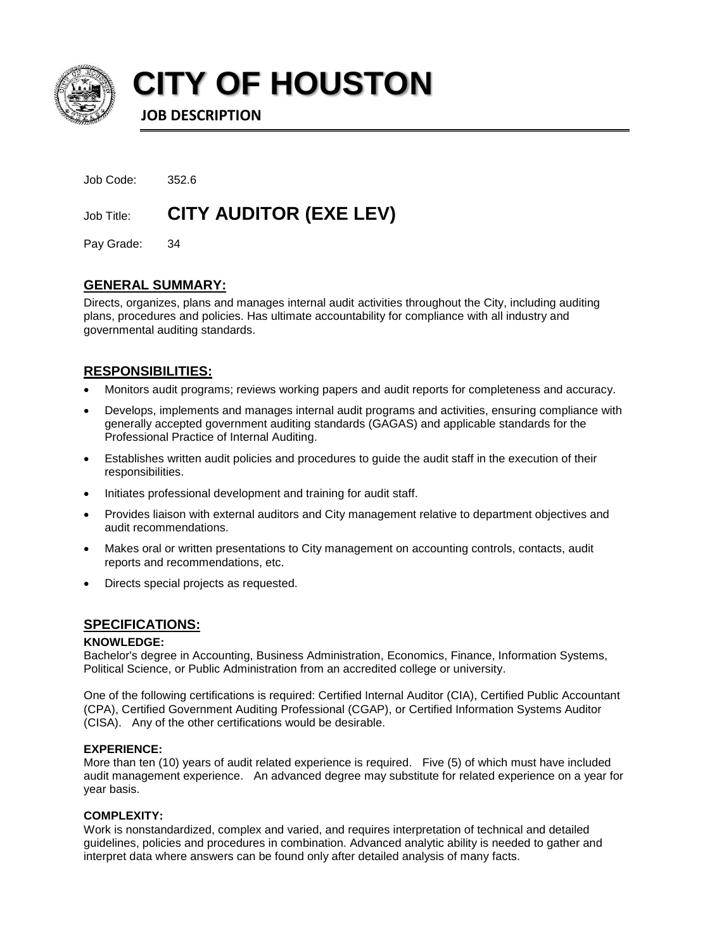

**CITY OF HOUSTON**

**JOB DESCRIPTION**

| Job Code: | 352.6 |
|-----------|-------|
|           |       |

Job Title: **CITY AUDITOR (EXE LEV)**

Pay Grade: 34

# **GENERAL SUMMARY:**

Directs, organizes, plans and manages internal audit activities throughout the City, including auditing plans, procedures and policies. Has ultimate accountability for compliance with all industry and governmental auditing standards.

# **RESPONSIBILITIES:**

- Monitors audit programs; reviews working papers and audit reports for completeness and accuracy.
- Develops, implements and manages internal audit programs and activities, ensuring compliance with generally accepted government auditing standards (GAGAS) and applicable standards for the Professional Practice of Internal Auditing.
- Establishes written audit policies and procedures to guide the audit staff in the execution of their responsibilities.
- Initiates professional development and training for audit staff.
- Provides liaison with external auditors and City management relative to department objectives and audit recommendations.
- Makes oral or written presentations to City management on accounting controls, contacts, audit reports and recommendations, etc.
- Directs special projects as requested.

## **SPECIFICATIONS:**

## **KNOWLEDGE:**

Bachelor's degree in Accounting, Business Administration, Economics, Finance, Information Systems, Political Science, or Public Administration from an accredited college or university.

One of the following certifications is required: Certified Internal Auditor (CIA), Certified Public Accountant (CPA), Certified Government Auditing Professional (CGAP), or Certified Information Systems Auditor (CISA). Any of the other certifications would be desirable.

## **EXPERIENCE:**

More than ten (10) years of audit related experience is required. Five (5) of which must have included audit management experience. An advanced degree may substitute for related experience on a year for year basis.

## **COMPLEXITY:**

Work is nonstandardized, complex and varied, and requires interpretation of technical and detailed guidelines, policies and procedures in combination. Advanced analytic ability is needed to gather and interpret data where answers can be found only after detailed analysis of many facts.